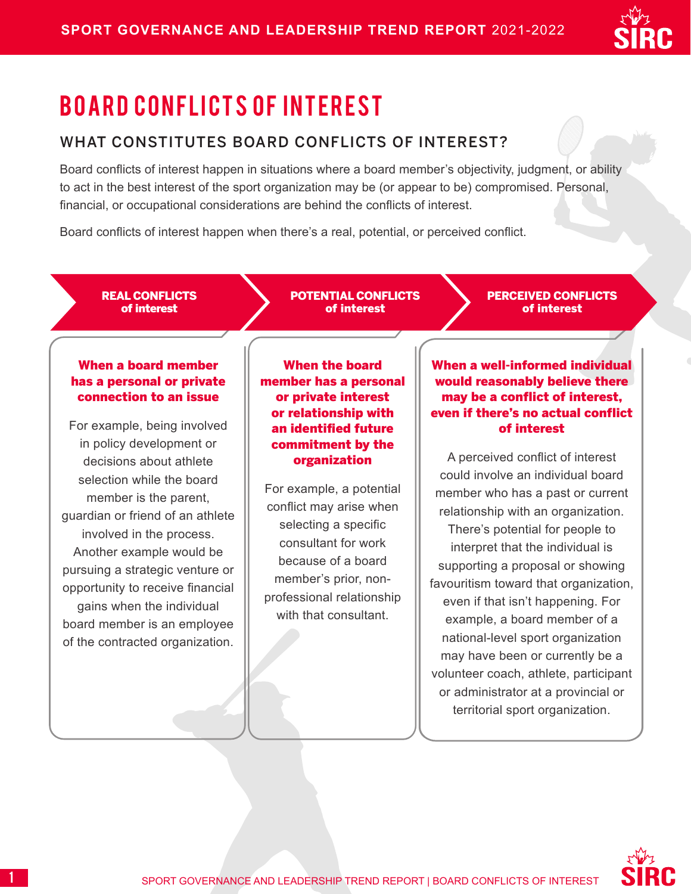

# BOARD CONFLICTS OF INTEREST

### WHAT CONSTITUTES BOARD CONFLICTS OF INTEREST?

Board conflicts of interest happen in situations where a board member's objectivity, judgment, or ability to act in the best interest of the sport organization may be (or appear to be) compromised. Personal, financial, or occupational considerations are behind the conflicts of interest.

Board conflicts of interest happen when there's a real, potential, or perceived conflict.

REAL CONFLICTS of interest

POTENTIAL CONFLICTS of interest

PERCEIVED CONFLICTS of interest

### When a board member has a personal or private connection to an issue

For example, being involved in policy development or decisions about athlete selection while the board member is the parent, guardian or friend of an athlete involved in the process. Another example would be pursuing a strategic venture or opportunity to receive financial gains when the individual board member is an employee of the contracted organization.

When the board member has a personal or private interest or relationship with an identified future commitment by the organization

For example, a potential conflict may arise when selecting a specific consultant for work because of a board member's prior, nonprofessional relationship with that consultant.

When a well-informed individual would reasonably believe there may be a conflict of interest, even if there's no actual conflict of interest

A perceived conflict of interest could involve an individual board member who has a past or current relationship with an organization. There's potential for people to interpret that the individual is supporting a proposal or showing favouritism toward that organization, even if that isn't happening. For example, a board member of a national-level sport organization may have been or currently be a volunteer coach, athlete, participant or administrator at a provincial or territorial sport organization.

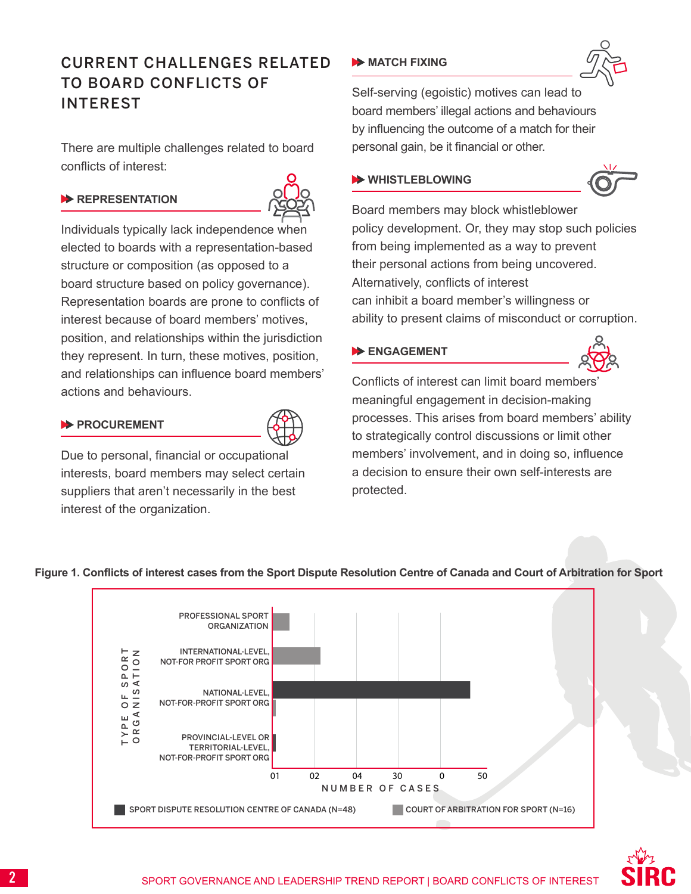## CURRENT CHALLENGES RELATED TO BOARD CONFLICTS OF INTEREST

There are multiple challenges related to board conflicts of interest:

### **REPRESENTATION**



Individuals typically lack independence when elected to boards with a representation-based structure or composition (as opposed to a board structure based on policy governance). Representation boards are prone to conflicts of interest because of board members' motives, position, and relationships within the jurisdiction they represent. In turn, these motives, position, and relationships can influence board members' actions and behaviours.

### **PROCUREMENT**



Due to personal, financial or occupational interests, board members may select certain suppliers that aren't necessarily in the best interest of the organization.

### **MATCH FIXING**



Self-serving (egoistic) motives can lead to board members' illegal actions and behaviours by influencing the outcome of a match for their personal gain, be it financial or other.

### **WHISTLEBLOWING**



Board members may block whistleblower policy development. Or, they may stop such policies from being implemented as a way to prevent their personal actions from being uncovered. Alternatively, conflicts of interest can inhibit a board member's willingness or ability to present claims of misconduct or corruption.

### **ENGAGEMENT**



Conflicts of interest can limit board members' meaningful engagement in decision-making processes. This arises from board members' ability to strategically control discussions or limit other members' involvement, and in doing so, influence a decision to ensure their own self-interests are protected.





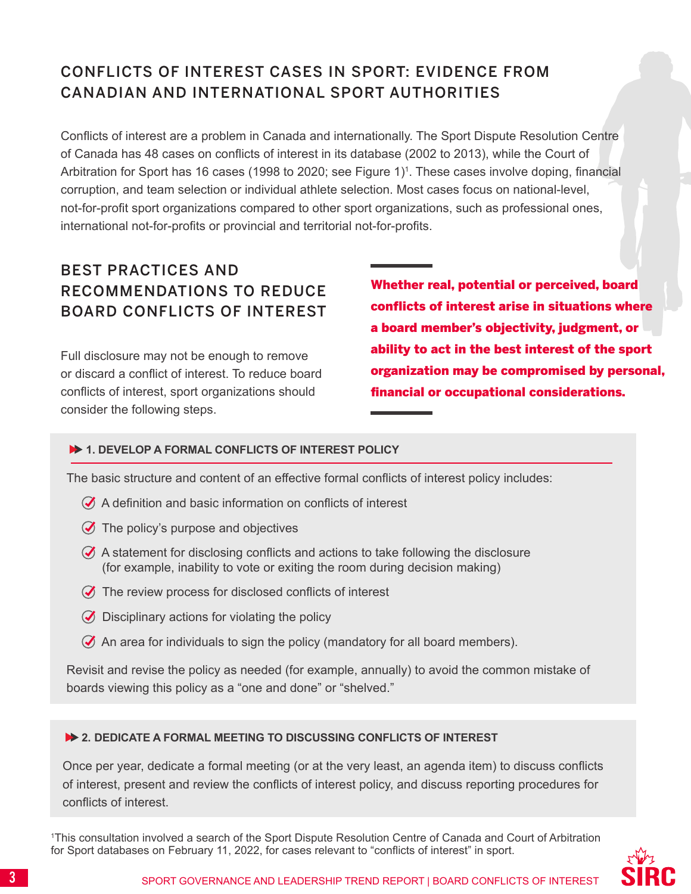# CONFLICTS OF INTEREST CASES IN SPORT: EVIDENCE FROM CANADIAN AND INTERNATIONAL SPORT AUTHORITIES

Conflicts of interest are a problem in Canada and internationally. The Sport Dispute Resolution Centre of Canada has 48 cases on conflicts of interest in its database (2002 to 2013), while the Court of Arbitration for Sport has 16 cases (1998 to 2020; see Figure 1)<sup>1</sup>. These cases involve doping, financial corruption, and team selection or individual athlete selection. Most cases focus on national-level, not-for-profit sport organizations compared to other sport organizations, such as professional ones, international not-for-profits or provincial and territorial not-for-profits.

### BEST PRACTICES AND RECOMMENDATIONS TO REDUCE BOARD CONFLICTS OF INTEREST

Full disclosure may not be enough to remove or discard a conflict of interest. To reduce board conflicts of interest, sport organizations should consider the following steps.

Whether real, potential or perceived, board conflicts of interest arise in situations where a board member's objectivity, judgment, or ability to act in the best interest of the sport organization may be compromised by personal, financial or occupational considerations.

### **1. DEVELOP A FORMAL CONFLICTS OF INTEREST POLICY**

The basic structure and content of an effective formal conflicts of interest policy includes:

- A definition and basic information on conflicts of interest
- $\oslash$  The policy's purpose and objectives
- $\mathcal G$  A statement for disclosing conflicts and actions to take following the disclosure (for example, inability to vote or exiting the room during decision making)
- $\oslash$  The review process for disclosed conflicts of interest
- $\oslash$  Disciplinary actions for violating the policy
- $\oslash$  An area for individuals to sign the policy (mandatory for all board members).

Revisit and revise the policy as needed (for example, annually) to avoid the common mistake of boards viewing this policy as a "one and done" or "shelved."

#### **2. DEDICATE A FORMAL MEETING TO DISCUSSING CONFLICTS OF INTEREST**

Once per year, dedicate a formal meeting (or at the very least, an agenda item) to discuss conflicts of interest, present and review the conflicts of interest policy, and discuss reporting procedures for conflicts of interest.

1 This consultation involved a search of the Sport Dispute Resolution Centre of Canada and Court of Arbitration for Sport databases on February 11, 2022, for cases relevant to "conflicts of interest" in sport.

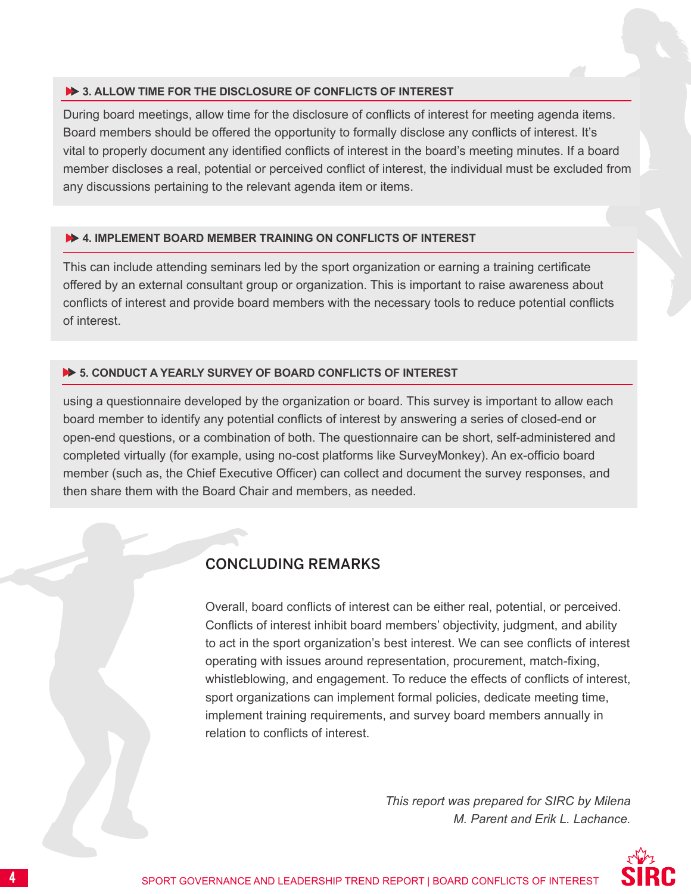#### **3. ALLOW TIME FOR THE DISCLOSURE OF CONFLICTS OF INTEREST**

During board meetings, allow time for the disclosure of conflicts of interest for meeting agenda items. Board members should be offered the opportunity to formally disclose any conflicts of interest. It's vital to properly document any identified conflicts of interest in the board's meeting minutes. If a board member discloses a real, potential or perceived conflict of interest, the individual must be excluded from any discussions pertaining to the relevant agenda item or items.

### **4. IMPLEMENT BOARD MEMBER TRAINING ON CONFLICTS OF INTEREST**

This can include attending seminars led by the sport organization or earning a training certificate offered by an external consultant group or organization. This is important to raise awareness about conflicts of interest and provide board members with the necessary tools to reduce potential conflicts of interest.

### **5. CONDUCT A YEARLY SURVEY OF BOARD CONFLICTS OF INTEREST**

using a questionnaire developed by the organization or board. This survey is important to allow each board member to identify any potential conflicts of interest by answering a series of closed-end or open-end questions, or a combination of both. The questionnaire can be short, self-administered and completed virtually (for example, using no-cost platforms like SurveyMonkey). An ex-officio board member (such as, the Chief Executive Officer) can collect and document the survey responses, and then share them with the Board Chair and members, as needed.

### CONCLUDING REMARKS

Overall, board conflicts of interest can be either real, potential, or perceived. Conflicts of interest inhibit board members' objectivity, judgment, and ability to act in the sport organization's best interest. We can see conflicts of interest operating with issues around representation, procurement, match-fixing, whistleblowing, and engagement. To reduce the effects of conflicts of interest, sport organizations can implement formal policies, dedicate meeting time, implement training requirements, and survey board members annually in relation to conflicts of interest.

> *This report was prepared for SIRC by Milena M. Parent and Erik L. Lachance.*